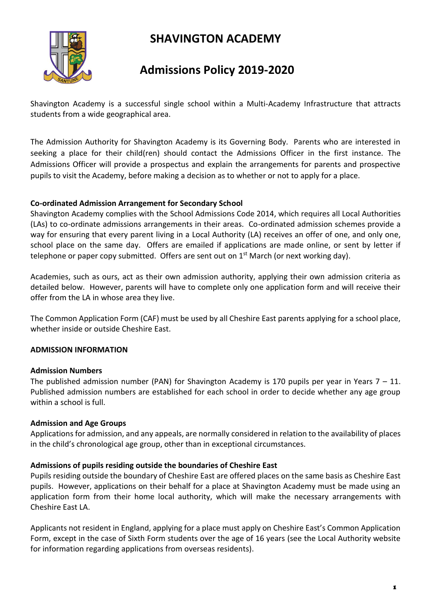# **SHAVINGTON ACADEMY**



# **Admissions Policy 2019-2020**

Shavington Academy is a successful single school within a Multi-Academy Infrastructure that attracts students from a wide geographical area.

The Admission Authority for Shavington Academy is its Governing Body. Parents who are interested in seeking a place for their child(ren) should contact the Admissions Officer in the first instance. The Admissions Officer will provide a prospectus and explain the arrangements for parents and prospective pupils to visit the Academy, before making a decision as to whether or not to apply for a place.

# **Co-ordinated Admission Arrangement for Secondary School**

Shavington Academy complies with the School Admissions Code 2014, which requires all Local Authorities (LAs) to co-ordinate admissions arrangements in their areas. Co-ordinated admission schemes provide a way for ensuring that every parent living in a Local Authority (LA) receives an offer of one, and only one, school place on the same day. Offers are emailed if applications are made online, or sent by letter if telephone or paper copy submitted. Offers are sent out on 1<sup>st</sup> March (or next working day).

Academies, such as ours, act as their own admission authority, applying their own admission criteria as detailed below. However, parents will have to complete only one application form and will receive their offer from the LA in whose area they live.

The Common Application Form (CAF) must be used by all Cheshire East parents applying for a school place, whether inside or outside Cheshire East.

# **ADMISSION INFORMATION**

## **Admission Numbers**

The published admission number (PAN) for Shavington Academy is 170 pupils per year in Years  $7 - 11$ . Published admission numbers are established for each school in order to decide whether any age group within a school is full.

## **Admission and Age Groups**

Applications for admission, and any appeals, are normally considered in relation to the availability of places in the child's chronological age group, other than in exceptional circumstances.

## **Admissions of pupils residing outside the boundaries of Cheshire East**

Pupils residing outside the boundary of Cheshire East are offered places on the same basis as Cheshire East pupils. However, applications on their behalf for a place at Shavington Academy must be made using an application form from their home local authority, which will make the necessary arrangements with Cheshire East LA.

Applicants not resident in England, applying for a place must apply on Cheshire East's Common Application Form, except in the case of Sixth Form students over the age of 16 years (see the Local Authority website for information regarding applications from overseas residents).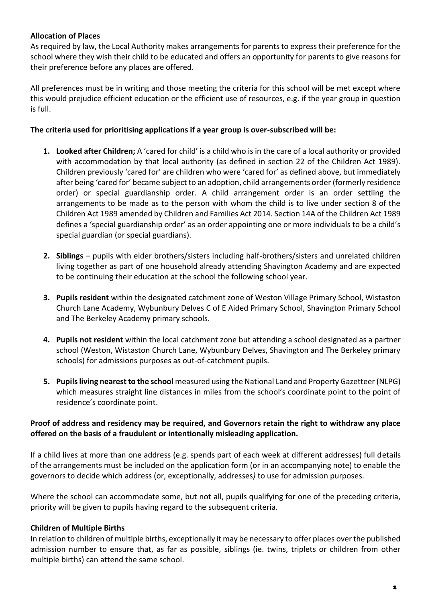# **Allocation of Places**

As required by law, the Local Authority makes arrangements for parents to express their preference for the school where they wish their child to be educated and offers an opportunity for parents to give reasons for their preference before any places are offered.

All preferences must be in writing and those meeting the criteria for this school will be met except where this would prejudice efficient education or the efficient use of resources, e.g. if the year group in question is full.

## **The criteria used for prioritising applications if a year group is over-subscribed will be:**

- **1. Looked after Children;** A 'cared for child' is a child who is in the care of a local authority or provided with accommodation by that local authority (as defined in section 22 of the Children Act 1989). Children previously 'cared for' are children who were 'cared for' as defined above, but immediately after being 'cared for' became subject to an adoption, child arrangements order (formerly residence order) or special guardianship order. A child arrangement order is an order settling the arrangements to be made as to the person with whom the child is to live under section 8 of the Children Act 1989 amended by Children and Families Act 2014. Section 14A of the Children Act 1989 defines a 'special guardianship order' as an order appointing one or more individuals to be a child's special guardian (or special guardians).
- **2. Siblings** pupils with elder brothers/sisters including half-brothers/sisters and unrelated children living together as part of one household already attending Shavington Academy and are expected to be continuing their education at the school the following school year.
- **3. Pupils resident** within the designated catchment zone of Weston Village Primary School, Wistaston Church Lane Academy, Wybunbury Delves C of E Aided Primary School, Shavington Primary School and The Berkeley Academy primary schools.
- **4. Pupils not resident** within the local catchment zone but attending a school designated as a partner school (Weston, Wistaston Church Lane, Wybunbury Delves, Shavington and The Berkeley primary schools) for admissions purposes as out-of-catchment pupils.
- **5. Pupils living nearest to the school** measured using the National Land and Property Gazetteer (NLPG) which measures straight line distances in miles from the school's coordinate point to the point of residence's coordinate point.

# **Proof of address and residency may be required, and Governors retain the right to withdraw any place offered on the basis of a fraudulent or intentionally misleading application.**

If a child lives at more than one address (e.g. spends part of each week at different addresses) full details of the arrangements must be included on the application form (or in an accompanying note) to enable the governors to decide which address (or, exceptionally, addresses*)* to use for admission purposes.

Where the school can accommodate some, but not all, pupils qualifying for one of the preceding criteria, priority will be given to pupils having regard to the subsequent criteria.

## **Children of Multiple Births**

In relation to children of multiple births, exceptionally it may be necessary to offer places over the published admission number to ensure that, as far as possible, siblings (ie. twins, triplets or children from other multiple births) can attend the same school.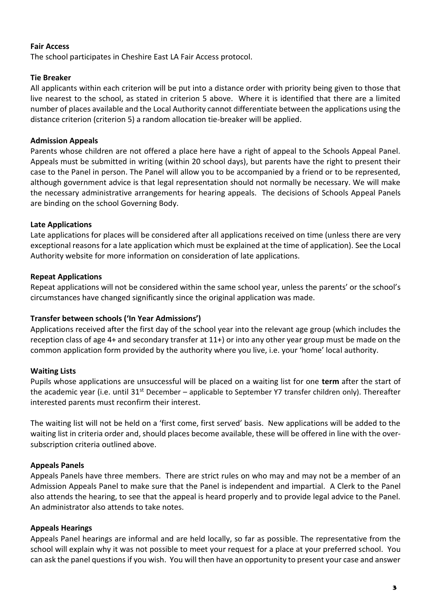## **Fair Access**

The school participates in Cheshire East LA Fair Access protocol.

## **Tie Breaker**

All applicants within each criterion will be put into a distance order with priority being given to those that live nearest to the school, as stated in criterion 5 above. Where it is identified that there are a limited number of places available and the Local Authority cannot differentiate between the applications using the distance criterion (criterion 5) a random allocation tie-breaker will be applied.

## **Admission Appeals**

Parents whose children are not offered a place here have a right of appeal to the Schools Appeal Panel. Appeals must be submitted in writing (within 20 school days), but parents have the right to present their case to the Panel in person. The Panel will allow you to be accompanied by a friend or to be represented, although government advice is that legal representation should not normally be necessary. We will make the necessary administrative arrangements for hearing appeals. The decisions of Schools Appeal Panels are binding on the school Governing Body.

### **Late Applications**

Late applications for places will be considered after all applications received on time (unless there are very exceptional reasons for a late application which must be explained at the time of application). See the Local Authority website for more information on consideration of late applications.

#### **Repeat Applications**

Repeat applications will not be considered within the same school year, unless the parents' or the school's circumstances have changed significantly since the original application was made.

#### **Transfer between schools ('In Year Admissions')**

Applications received after the first day of the school year into the relevant age group (which includes the reception class of age 4+ and secondary transfer at 11+) or into any other year group must be made on the common application form provided by the authority where you live, i.e. your 'home' local authority.

#### **Waiting Lists**

Pupils whose applications are unsuccessful will be placed on a waiting list for one **term** after the start of the academic year (i.e. until 31<sup>st</sup> December – applicable to September Y7 transfer children only). Thereafter interested parents must reconfirm their interest.

The waiting list will not be held on a 'first come, first served' basis. New applications will be added to the waiting list in criteria order and, should places become available, these will be offered in line with the oversubscription criteria outlined above.

## **Appeals Panels**

Appeals Panels have three members. There are strict rules on who may and may not be a member of an Admission Appeals Panel to make sure that the Panel is independent and impartial. A Clerk to the Panel also attends the hearing, to see that the appeal is heard properly and to provide legal advice to the Panel. An administrator also attends to take notes.

## **Appeals Hearings**

Appeals Panel hearings are informal and are held locally, so far as possible. The representative from the school will explain why it was not possible to meet your request for a place at your preferred school. You can ask the panel questions if you wish. You will then have an opportunity to present your case and answer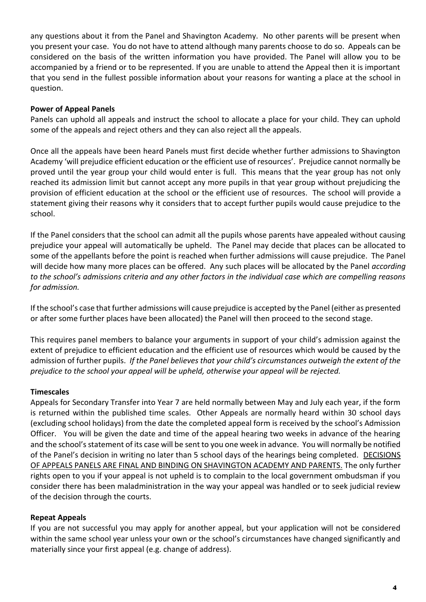any questions about it from the Panel and Shavington Academy. No other parents will be present when you present your case. You do not have to attend although many parents choose to do so. Appeals can be considered on the basis of the written information you have provided. The Panel will allow you to be accompanied by a friend or to be represented. If you are unable to attend the Appeal then it is important that you send in the fullest possible information about your reasons for wanting a place at the school in question.

## **Power of Appeal Panels**

Panels can uphold all appeals and instruct the school to allocate a place for your child. They can uphold some of the appeals and reject others and they can also reject all the appeals.

Once all the appeals have been heard Panels must first decide whether further admissions to Shavington Academy 'will prejudice efficient education or the efficient use of resources'. Prejudice cannot normally be proved until the year group your child would enter is full. This means that the year group has not only reached its admission limit but cannot accept any more pupils in that year group without prejudicing the provision of efficient education at the school or the efficient use of resources. The school will provide a statement giving their reasons why it considers that to accept further pupils would cause prejudice to the school.

If the Panel considers that the school can admit all the pupils whose parents have appealed without causing prejudice your appeal will automatically be upheld. The Panel may decide that places can be allocated to some of the appellants before the point is reached when further admissions will cause prejudice. The Panel will decide how many more places can be offered. Any such places will be allocated by the Panel *according to the school's admissions criteria and any other factors in the individual case which are compelling reasons for admission.*

If the school's case that further admissions will cause prejudice is accepted by the Panel (either as presented or after some further places have been allocated) the Panel will then proceed to the second stage.

This requires panel members to balance your arguments in support of your child's admission against the extent of prejudice to efficient education and the efficient use of resources which would be caused by the admission of further pupils. *If the Panel believes that your child's circumstances outweigh the extent of the prejudice to the school your appeal will be upheld, otherwise your appeal will be rejected.*

#### **Timescales**

Appeals for Secondary Transfer into Year 7 are held normally between May and July each year, if the form is returned within the published time scales. Other Appeals are normally heard within 30 school days (excluding school holidays) from the date the completed appeal form is received by the school's Admission Officer. You will be given the date and time of the appeal hearing two weeks in advance of the hearing and the school's statement of its case will be sent to you one week in advance. You will normally be notified of the Panel's decision in writing no later than 5 school days of the hearings being completed. DECISIONS OF APPEALS PANELS ARE FINAL AND BINDING ON SHAVINGTON ACADEMY AND PARENTS. The only further rights open to you if your appeal is not upheld is to complain to the local government ombudsman if you consider there has been maladministration in the way your appeal was handled or to seek judicial review of the decision through the courts.

## **Repeat Appeals**

If you are not successful you may apply for another appeal, but your application will not be considered within the same school year unless your own or the school's circumstances have changed significantly and materially since your first appeal (e.g. change of address).